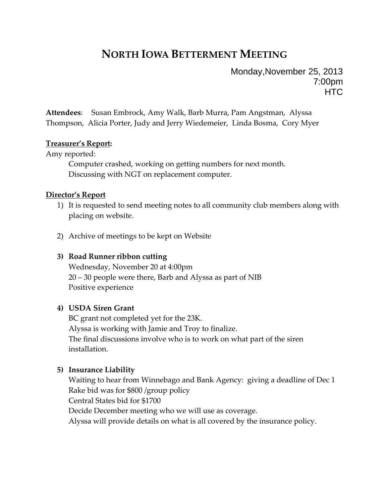# **NORTH IOWA BETTERMENT MEETING**

Monday,November 25, 2013 7:00pm **HTC** 

**Attendees**: Susan Embrock, Amy Walk, Barb Murra, Pam Angstman, Alyssa Thompson, Alicia Porter, Judy and Jerry Wiedemeier, Linda Bosma, Cory Myer

## **Treasurer's Report:**

Amy reported:

Computer crashed, working on getting numbers for next month. Discussing with NGT on replacement computer.

#### **Director's Report**

- 1) It is requested to send meeting notes to all community club members along with placing on website.
- 2) Archive of meetings to be kept on Website

## **3) Road Runner ribbon cutting**

Wednesday, November 20 at 4:00pm 20 – 30 people were there, Barb and Alyssa as part of NIB Positive experience

## **4) USDA Siren Grant**

BC grant not completed yet for the 23K. Alyssa is working with Jamie and Troy to finalize. The final discussions involve who is to work on what part of the siren installation.

## **5) Insurance Liability**

Waiting to hear from Winnebago and Bank Agency: giving a deadline of Dec 1 Rake bid was for \$800 /group policy Central States bid for \$1700 Decide December meeting who we will use as coverage. Alyssa will provide details on what is all covered by the insurance policy.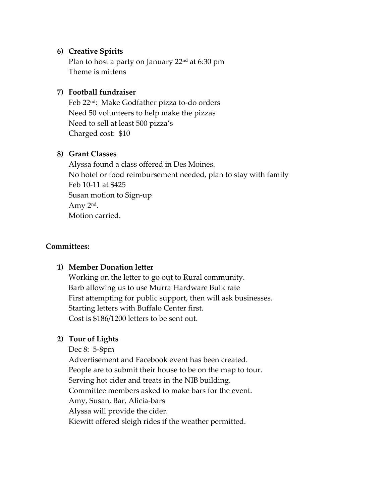# **6) Creative Spirits**

Plan to host a party on January 22<sup>nd</sup> at 6:30 pm Theme is mittens

## **7) Football fundraiser**

Feb 22nd: Make Godfather pizza to‐do orders Need 50 volunteers to help make the pizzas Need to sell at least 500 pizza's Charged cost: \$10

## **8) Grant Classes**

Alyssa found a class offered in Des Moines. No hotel or food reimbursement needed, plan to stay with family Feb 10‐11 at \$425 Susan motion to Sign‐up Amy 2nd. Motion carried.

## **Committees:**

# **1) Member Donation letter**

Working on the letter to go out to Rural community. Barb allowing us to use Murra Hardware Bulk rate First attempting for public support, then will ask businesses. Starting letters with Buffalo Center first. Cost is \$186/1200 letters to be sent out.

## **2) Tour of Lights**

Dec 8: 5‐8pm

Advertisement and Facebook event has been created. People are to submit their house to be on the map to tour. Serving hot cider and treats in the NIB building. Committee members asked to make bars for the event. Amy, Susan, Bar, Alicia‐bars Alyssa will provide the cider. Kiewitt offered sleigh rides if the weather permitted.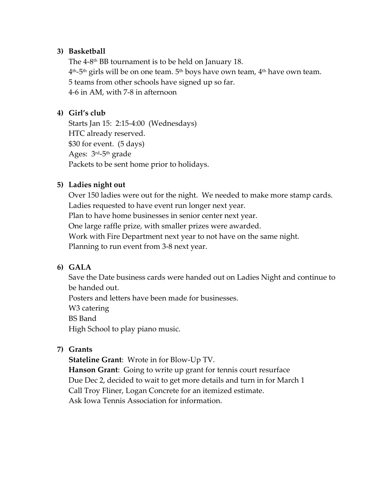# **3) Basketball**

The  $4-8$ <sup>th</sup> BB tournament is to be held on January 18. 4<sup>th</sup>-5<sup>th</sup> girls will be on one team. 5<sup>th</sup> boys have own team, 4<sup>th</sup> have own team. 5 teams from other schools have signed up so far. 4‐6 in AM, with 7‐8 in afternoon

# **4) Girl's club**

Starts Jan 15: 2:15‐4:00 (Wednesdays) HTC already reserved. \$30 for event. (5 days) Ages:  $3<sup>rd</sup>-5<sup>th</sup>$  grade Packets to be sent home prior to holidays.

## **5) Ladies night out**

Over 150 ladies were out for the night. We needed to make more stamp cards. Ladies requested to have event run longer next year. Plan to have home businesses in senior center next year. One large raffle prize, with smaller prizes were awarded. Work with Fire Department next year to not have on the same night. Planning to run event from 3‐8 next year.

## **6) GALA**

Save the Date business cards were handed out on Ladies Night and continue to be handed out.

Posters and letters have been made for businesses.

W<sub>3</sub> catering

BS Band

High School to play piano music.

## **7) Grants**

**Stateline Grant**: Wrote in for Blow‐Up TV.

**Hanson Grant**: Going to write up grant for tennis court resurface Due Dec 2, decided to wait to get more details and turn in for March 1 Call Troy Fliner, Logan Concrete for an itemized estimate. Ask Iowa Tennis Association for information.